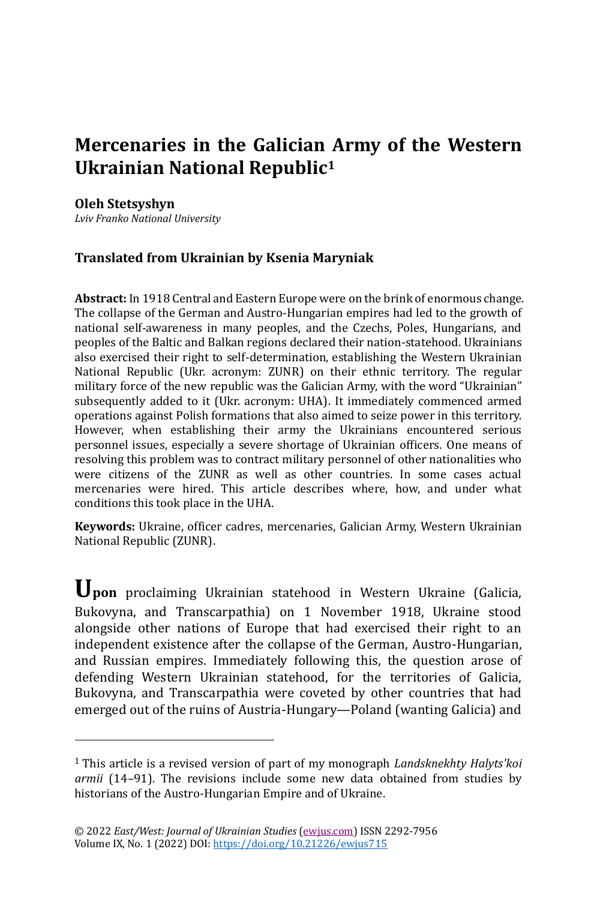# **Mercenaries in the Galician Army of the Western Ukrainian National Republic<sup>1</sup>**

### **Oleh Stetsyshyn**

*Lviv Franko National University*

## **Translated from Ukrainian by Ksenia Maryniak**

**Abstract:** In 1918 Central and Eastern Europe were on the brink of enormous change. The collapse of the German and Austro-Hungarian empires had led to the growth of national self-awareness in many peoples, and the Czechs, Poles, Hungarians, and peoples of the Baltic and Balkan regions declared their nation-statehood. Ukrainians also exercised their right to self-determination, establishing the Western Ukrainian National Republic (Ukr. acronym: ZUNR) on their ethnic territory. The regular military force of the new republic was the Galician Army, with the word "Ukrainian" subsequently added to it (Ukr. acronym: UHA). It immediately commenced armed operations against Polish formations that also aimed to seize power in this territory. However, when establishing their army the Ukrainians encountered serious personnel issues, especially a severe shortage of Ukrainian officers. One means of resolving this problem was to contract military personnel of other nationalities who were citizens of the ZUNR as well as other countries. In some cases actual mercenaries were hired. This article describes where, how, and under what conditions this took place in the UHA.

**Keywords:** Ukraine, officer cadres, mercenaries, Galician Army, Western Ukrainian National Republic (ZUNR).

**Upon** proclaiming Ukrainian statehood in Western Ukraine (Galicia, Bukovyna, and Transcarpathia) on 1 November 1918, Ukraine stood alongside other nations of Europe that had exercised their right to an independent existence after the collapse of the German, Austro-Hungarian, and Russian empires. Immediately following this, the question arose of defending Western Ukrainian statehood, for the territories of Galicia, Bukovyna, and Transcarpathia were coveted by other countries that had emerged out of the ruins of Austria-Hungary—Poland (wanting Galicia) and

<sup>1</sup> This article is a revised version of part of my monograph *Landsknekhty Halyts'koi armii* (14–91). The revisions include some new data obtained from studies by historians of the Austro-Hungarian Empire and of Ukraine.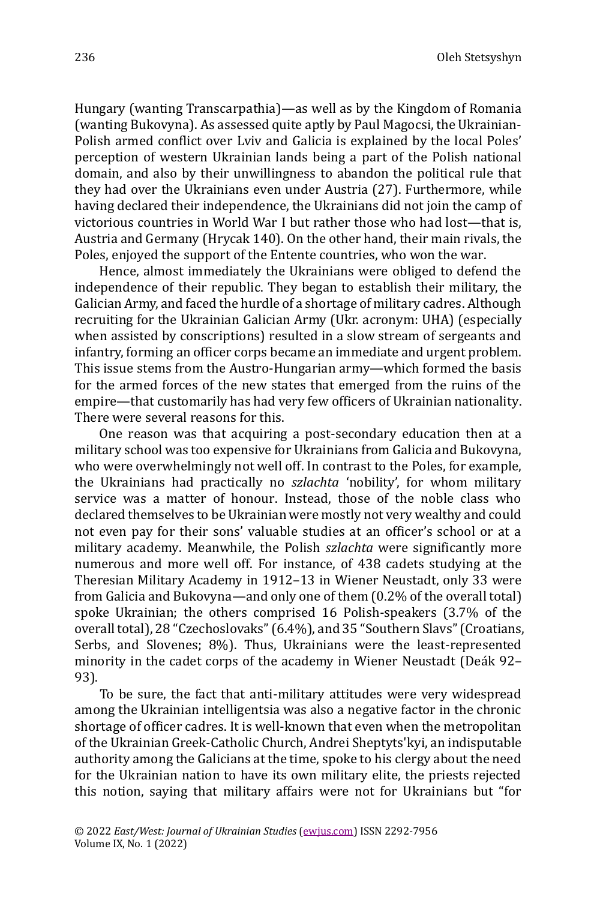Hungary (wanting Transcarpathia)—as well as by the Kingdom of Romania (wanting Bukovyna). As assessed quite aptly by Paul Magocsi, the Ukrainian-Polish armed conflict over Lviv and Galicia is explained by the local Poles' perception of western Ukrainian lands being a part of the Polish national domain, and also by their unwillingness to abandon the political rule that they had over the Ukrainians even under Austria (27). Furthermore, while having declared their independence, the Ukrainians did not join the camp of victorious countries in World War I but rather those who had lost—that is, Austria and Germany (Hrycak 140). On the other hand, their main rivals, the Poles, enjoyed the support of the Entente countries, who won the war.

Hence, almost immediately the Ukrainians were obliged to defend the independence of their republic. They began to establish their military, the Galician Army, and faced the hurdle of a shortage of military cadres. Although recruiting for the Ukrainian Galician Army (Ukr. acronym: UHA) (especially when assisted by conscriptions) resulted in a slow stream of sergeants and infantry, forming an officer corps became an immediate and urgent problem. This issue stems from the Austro-Hungarian army—which formed the basis for the armed forces of the new states that emerged from the ruins of the empire—that customarily has had very few officers of Ukrainian nationality. There were several reasons for this.

One reason was that acquiring a post-secondary education then at a military school was too expensive for Ukrainians from Galicia and Bukovyna, who were overwhelmingly not well off. In contrast to the Poles, for example, the Ukrainians had practically no *szlachta* 'nobility', for whom military service was a matter of honour. Instead, those of the noble class who declared themselves to be Ukrainian were mostly not very wealthy and could not even pay for their sons' valuable studies at an officer's school or at a military academy. Meanwhile, the Polish *szlachta* were significantly more numerous and more well off. For instance, of 438 cadets studying at the Theresian Military Academy in 1912–13 in Wiener Neustadt, only 33 were from Galicia and Bukovyna—and only one of them (0.2% of the overall total) spoke Ukrainian; the others comprised 16 Polish-speakers (3.7% of the overall total), 28 "Czechoslovaks"(6.4%), and 35 "Southern Slavs"(Croatians, Serbs, and Slovenes; 8%). Thus, Ukrainians were the least-represented minority in the cadet corps of the academy in Wiener Neustadt (Deák 92-93).

To be sure, the fact that anti-military attitudes were very widespread among the Ukrainian intelligentsia was also a negative factor in the chronic shortage of officer cadres. It is well-known that even when the metropolitan of the Ukrainian Greek-Catholic Church, Andrei Sheptyts'kyi, an indisputable authority among the Galicians at the time, spoke to his clergy about the need for the Ukrainian nation to have its own military elite, the priests rejected this notion, saying that military affairs were not for Ukrainians but "for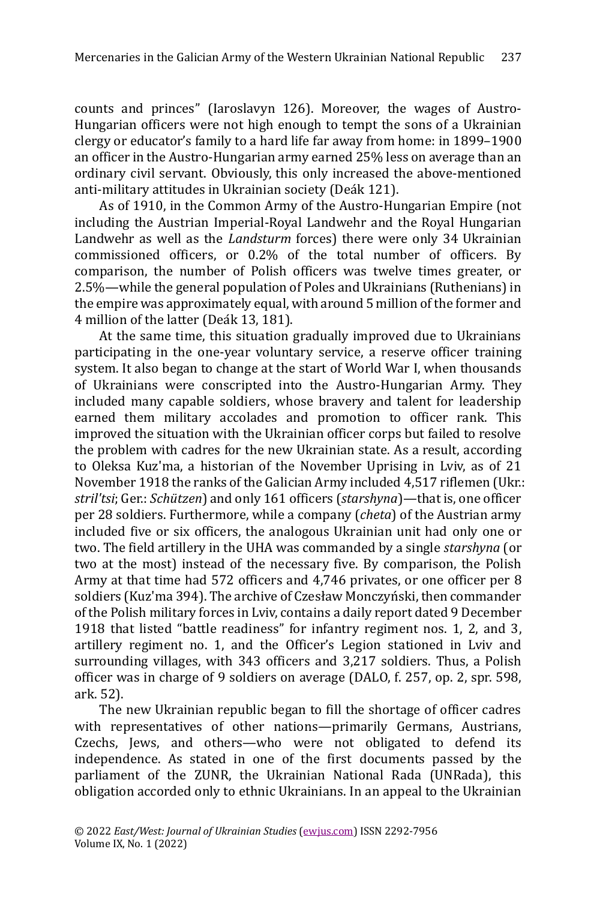counts and princes" (Iaroslavyn 126). Moreover, the wages of Austro-Hungarian officers were not high enough to tempt the sons of a Ukrainian clergy or educator's family to a hard life far away from home: in 1899–1900 an officer in the Austro-Hungarian army earned 25% less on average than an ordinary civil servant. Obviously, this only increased the above-mentioned anti-military attitudes in Ukrainian society (Deák 121).

As of 1910, in the Common Army of the Austro-Hungarian Empire (not including the Austrian Imperial-Royal Landwehr and the Royal Hungarian Landwehr as well as the *Landsturm* forces) there were only 34 Ukrainian commissioned officers, or 0.2% of the total number of officers. By comparison, the number of Polish officers was twelve times greater, or 2.5%—while the general population of Poles and Ukrainians (Ruthenians) in the empire was approximately equal, with around 5 million of the former and 4 million of the latter (Deák 13, 181).

At the same time, this situation gradually improved due to Ukrainians participating in the one-year voluntary service, a reserve officer training system. It also began to change at the start of World War I, when thousands of Ukrainians were conscripted into the Austro-Hungarian Army. They included many capable soldiers, whose bravery and talent for leadership earned them military accolades and promotion to officer rank. This improved the situation with the Ukrainian officer corps but failed to resolve the problem with cadres for the new Ukrainian state. As a result, according to Oleksa Kuz'ma, a historian of the November Uprising in Lviv, as of 21 November 1918 the ranks of the Galician Army included 4,517 riflemen (Ukr.: *stril'tsi*; Ger.: *Schützen*) and only 161 officers (*starshyna*)—that is, one officer per 28 soldiers. Furthermore, while a company (*cheta*) of the Austrian army included five or six officers, the analogous Ukrainian unit had only one or two. The field artillery in the UHA was commanded by a single *starshyna* (or two at the most) instead of the necessary five. By comparison, the Polish Army at that time had 572 officers and 4,746 privates, or one officer per 8 soldiers (Kuz'ma 394). The archive of Czesław Monczyński, then commander of the Polish military forces in Lviv, contains a daily report dated 9 December 1918 that listed "battle readiness" for infantry regiment nos. 1, 2, and 3, artillery regiment no. 1, and the Officer's Legion stationed in Lviv and surrounding villages, with 343 officers and 3,217 soldiers. Thus, a Polish officer was in charge of 9 soldiers on average (DALO, f. 257, op. 2, spr. 598, ark. 52).

The new Ukrainian republic began to fill the shortage of officer cadres with representatives of other nations—primarily Germans, Austrians, Czechs, Jews, and others—who were not obligated to defend its independence. As stated in one of the first documents passed by the parliament of the ZUNR, the Ukrainian National Rada (UNRada), this obligation accorded only to ethnic Ukrainians. In an appeal to the Ukrainian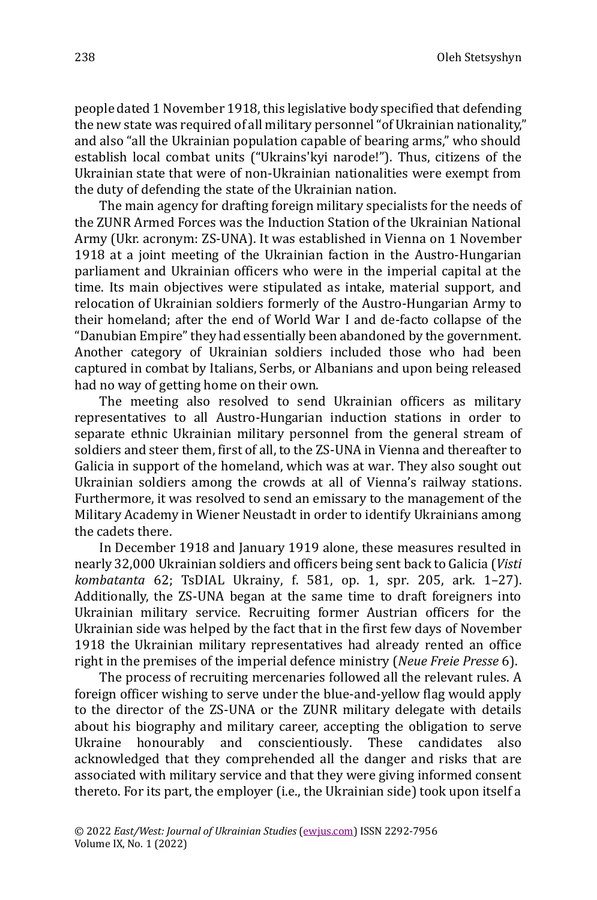people dated 1 November 1918, this legislative body specified that defending the new state was required of all military personnel "of Ukrainian nationality," and also "all the Ukrainian population capable of bearing arms," who should establish local combat units ("Ukrains'kyi narode!"). Thus, citizens of the Ukrainian state that were of non-Ukrainian nationalities were exempt from the duty of defending the state of the Ukrainian nation.

The main agency for drafting foreign military specialists for the needs of the ZUNR Armed Forces was the Induction Station of the Ukrainian National Army (Ukr. acronym: ZS-UNA). It was established in Vienna on 1 November 1918 at a joint meeting of the Ukrainian faction in the Austro-Hungarian parliament and Ukrainian officers who were in the imperial capital at the time. Its main objectives were stipulated as intake, material support, and relocation of Ukrainian soldiers formerly of the Austro-Hungarian Army to their homeland; after the end of World War I and de-facto collapse of the "Danubian Empire" they had essentially been abandoned by the government. Another category of Ukrainian soldiers included those who had been captured in combat by Italians, Serbs, or Albanians and upon being released had no way of getting home on their own.

The meeting also resolved to send Ukrainian officers as military representatives to all Austro-Hungarian induction stations in order to separate ethnic Ukrainian military personnel from the general stream of soldiers and steer them, first of all, to the ZS-UNA in Vienna and thereafter to Galicia in support of the homeland, which was at war. They also sought out Ukrainian soldiers among the crowds at all of Vienna's railway stations. Furthermore, it was resolved to send an emissary to the management of the Military Academy in Wiener Neustadt in order to identify Ukrainians among the cadets there.

In December 1918 and January 1919 alone, these measures resulted in nearly 32,000 Ukrainian soldiers and officers being sent back to Galicia (*Visti kombatanta* 62; TsDIAL Ukrainy, f. 581, op. 1, spr. 205, ark. 1–27). Additionally, the ZS-UNA began at the same time to draft foreigners into Ukrainian military service. Recruiting former Austrian officers for the Ukrainian side was helped by the fact that in the first few days of November 1918 the Ukrainian military representatives had already rented an office right in the premises of the imperial defence ministry (*Neue Freie Presse* 6).

The process of recruiting mercenaries followed all the relevant rules. A foreign officer wishing to serve under the blue-and-yellow flag would apply to the director of the ZS-UNA or the ZUNR military delegate with details about his biography and military career, accepting the obligation to serve Ukraine honourably and conscientiously. These candidates also acknowledged that they comprehended all the danger and risks that are associated with military service and that they were giving informed consent thereto. For its part, the employer (i.e., the Ukrainian side) took upon itself a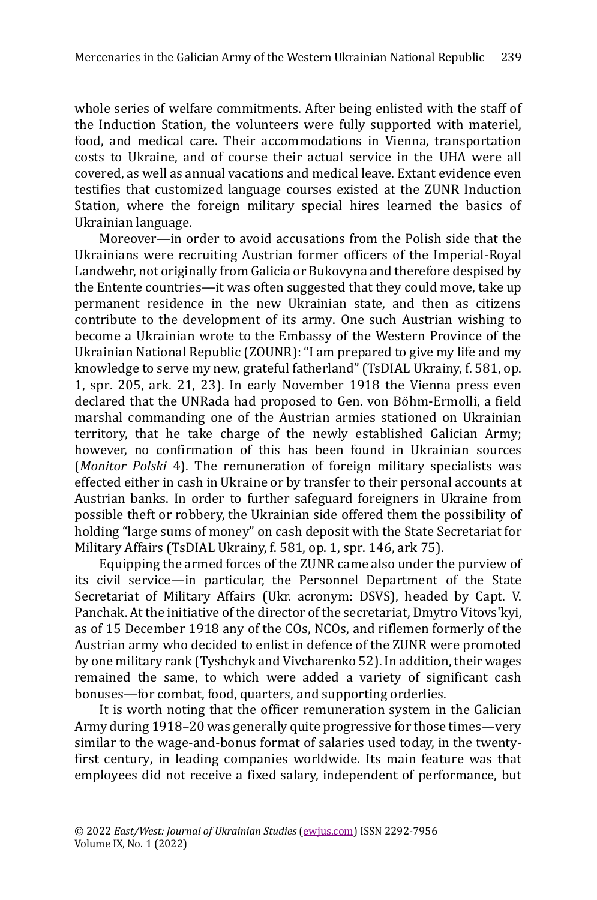whole series of welfare commitments. After being enlisted with the staff of the Induction Station, the volunteers were fully supported with materiel, food, and medical care. Their accommodations in Vienna, transportation costs to Ukraine, and of course their actual service in the UHA were all covered, as well as annual vacations and medical leave. Extant evidence even testifies that customized language courses existed at the ZUNR Induction Station, where the foreign military special hires learned the basics of Ukrainian language.

Moreover—in order to avoid accusations from the Polish side that the Ukrainians were recruiting Austrian former officers of the Imperial-Royal Landwehr, not originally from Galicia or Bukovyna and therefore despised by the Entente countries—it was often suggested that they could move, take up permanent residence in the new Ukrainian state, and then as citizens contribute to the development of its army. One such Austrian wishing to become a Ukrainian wrote to the Embassy of the Western Province of the Ukrainian National Republic (ZOUNR): "I am prepared to give my life and my knowledge to serve my new, grateful fatherland" (TsDIAL Ukrainy, f. 581, op. 1, spr. 205, ark. 21, 23). In early November 1918 the Vienna press even declared that the UNRada had proposed to Gen. von Böhm-Ermolli, a field marshal commanding one of the Austrian armies stationed on Ukrainian territory, that he take charge of the newly established Galician Army; however, no confirmation of this has been found in Ukrainian sources (*Monitor Polski* 4). The remuneration of foreign military specialists was effected either in cash in Ukraine or by transfer to their personal accounts at Austrian banks. In order to further safeguard foreigners in Ukraine from possible theft or robbery, the Ukrainian side offered them the possibility of holding "large sums of money" on cash deposit with the State Secretariat for Military Affairs (TsDIAL Ukrainy, f. 581, op. 1, spr. 146, ark 75).

Equipping the armed forces of the ZUNR came also under the purview of its civil service—in particular, the Personnel Department of the State Secretariat of Military Affairs (Ukr. acronym: DSVS), headed by Capt. V. Panchak. At the initiative of the director of the secretariat, Dmytro Vitovs'kyi, as of 15 December 1918 any of the COs, NCOs, and riflemen formerly of the Austrian army who decided to enlist in defence of the ZUNR were promoted by one military rank (Tyshchyk and Vivcharenko 52). In addition, their wages remained the same, to which were added a variety of significant cash bonuses—for combat, food, quarters, and supporting orderlies.

It is worth noting that the officer remuneration system in the Galician Army during 1918–20 was generally quite progressive for those times—very similar to the wage-and-bonus format of salaries used today, in the twentyfirst century, in leading companies worldwide. Its main feature was that employees did not receive a fixed salary, independent of performance, but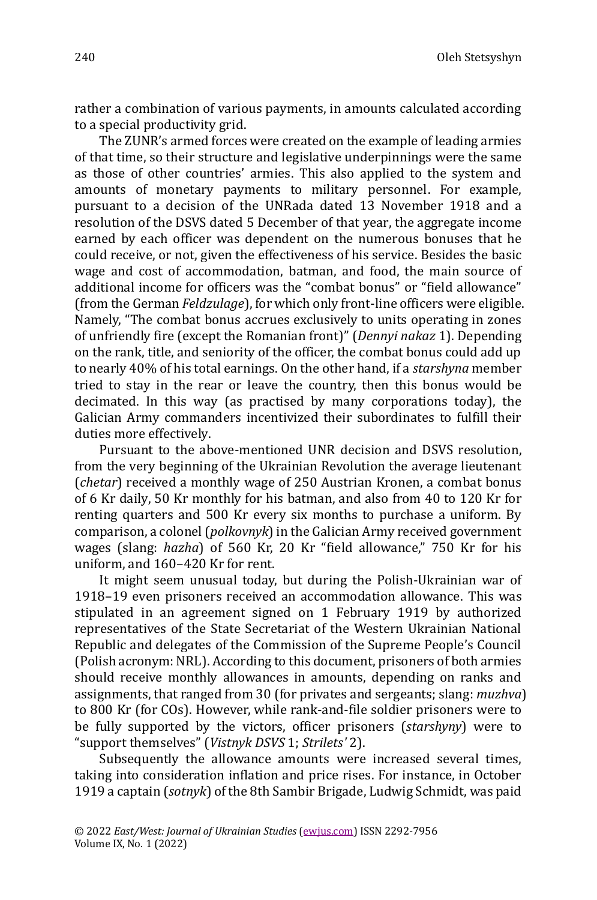rather a combination of various payments, in amounts calculated according to a special productivity grid.

The ZUNR's armed forces were created on the example of leading armies of that time, so their structure and legislative underpinnings were the same as those of other countries' armies. This also applied to the system and amounts of monetary payments to military personnel. For example, pursuant to a decision of the UNRada dated 13 November 1918 and a resolution of the DSVS dated 5 December of that year, the aggregate income earned by each officer was dependent on the numerous bonuses that he could receive, or not, given the effectiveness of his service. Besides the basic wage and cost of accommodation, batman, and food, the main source of additional income for officers was the "combat bonus" or "field allowance" (from the German *Feldzulage*), for which only front-line officers were eligible. Namely, "The combat bonus accrues exclusively to units operating in zones of unfriendly fire (except the Romanian front)" (*Dennyi nakaz* 1). Depending on the rank, title, and seniority of the officer, the combat bonus could add up to nearly 40% of his total earnings. On the other hand, if a *starshyna* member tried to stay in the rear or leave the country, then this bonus would be decimated. In this way (as practised by many corporations today), the Galician Army commanders incentivized their subordinates to fulfill their duties more effectively.

Pursuant to the above-mentioned UNR decision and DSVS resolution, from the very beginning of the Ukrainian Revolution the average lieutenant (*chetar*) received a monthly wage of 250 Austrian Kronen, a combat bonus of 6 Kr daily, 50 Kr monthly for his batman, and also from 40 to 120 Kr for renting quarters and 500 Kr every six months to purchase a uniform. By comparison, a colonel (*polkovnyk*) in the Galician Army received government wages (slang: *hazha*) of 560 Kr, 20 Kr "field allowance," 750 Kr for his uniform, and 160–420 Kr for rent.

It might seem unusual today, but during the Polish-Ukrainian war of 1918–19 even prisoners received an accommodation allowance. This was stipulated in an agreement signed on 1 February 1919 by authorized representatives of the State Secretariat of the Western Ukrainian National Republic and delegates of the Commission of the Supreme People's Council (Polish acronym: NRL). According to this document, prisoners of both armies should receive monthly allowances in amounts, depending on ranks and assignments, that ranged from 30 (for privates and sergeants; slang: *muzhva*) to 800 Kr (for COs). However, while rank-and-file soldier prisoners were to be fully supported by the victors, officer prisoners (*starshyny*) were to "support themselves" (*Vistnyk DSVS* 1; *Strilets'* 2).

Subsequently the allowance amounts were increased several times, taking into consideration inflation and price rises. For instance, in October 1919 a captain (*sotnyk*) of the 8th Sambir Brigade, Ludwig Schmidt, was paid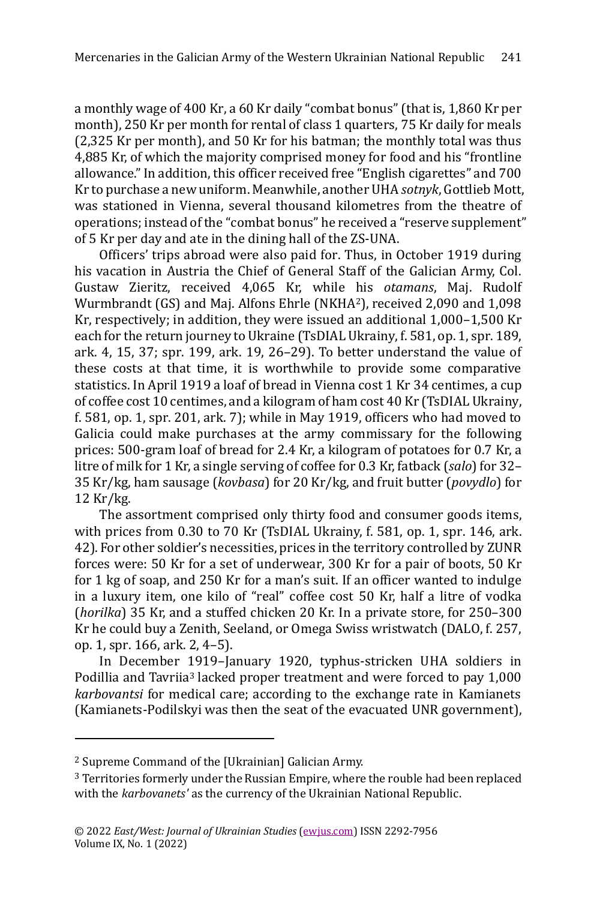a monthly wage of 400 Kr, a 60 Kr daily "combat bonus"(that is, 1,860 Kr per month), 250 Kr per month for rental of class 1 quarters, 75 Kr daily for meals (2,325 Kr per month), and 50 Kr for his batman; the monthly total was thus 4,885 Kr, of which the majority comprised money for food and his "frontline allowance."In addition, this officer received free "English cigarettes" and 700 Kr to purchase a new uniform. Meanwhile, another UHA *sotnyk*, Gottlieb Mott, was stationed in Vienna, several thousand kilometres from the theatre of operations; instead of the "combat bonus" he received а "reserve supplement" of 5 Kr per day and ate in the dining hall of the ZS-UNA.

Officers' trips abroad were also paid for. Thus, in October 1919 during his vacation in Austria the Chief of General Staff of the Galician Army, Col. Gustaw Zieritz, received 4,065 Kr, while his *otamans*, Maj. Rudolf Wurmbrandt (GS) and Maj. Alfons Ehrle (NKHA2), received 2,090 and 1,098 Kr, respectively; in addition, they were issued an additional 1,000–1,500 Kr each for the return journey to Ukraine (TsDIAL Ukrainy, f. 581, op. 1, spr. 189, ark. 4, 15, 37; spr. 199, ark. 19, 26–29). To better understand the value of these costs at that time, it is worthwhile to provide some comparative statistics. In April 1919 a loaf of bread in Vienna cost 1 Kr 34 centimes, a cup of coffee cost 10 centimes, and a kilogram of ham cost 40 Kr (TsDIAL Ukrainy, f. 581, op. 1, spr. 201, ark. 7); while in May 1919, officers who had moved to Galicia could make purchases at the army commissary for the following prices: 500-gram loaf of bread for 2.4 Kr, a kilogram of potatoes for 0.7 Kr, a litre of milk for 1 Kr, a single serving of coffee for 0.3 Kr, fatback (*salo*) for 32– 35 Kr/kg, ham sausage (*kovbasa*) for 20 Kr/kg, and fruit butter (*povydlo*) for 12 Kr/kg.

The assortment comprised only thirty food and consumer goods items, with prices from 0.30 to 70 Kr (TsDIAL Ukrainy, f. 581, op. 1, spr. 146, ark. 42). For other soldier's necessities, prices in the territory controlled by ZUNR forces were: 50 Kr for a set of underwear, 300 Kr for a pair of boots, 50 Kr for 1 kg of soap, and 250 Kr for a man's suit. If an officer wanted to indulge in a luxury item, one kilo of "real" coffee cost 50 Kr, half a litre of vodka (*horilka*) 35 Kr, and a stuffed chicken 20 Kr. In a private store, for 250–300 Kr he could buy a Zenith, Seeland, or Omega Swiss wristwatch (DALO, f. 257, op. 1, spr. 166, ark. 2, 4–5).

In December 1919–January 1920, typhus-stricken UHA soldiers in Podillia and Tavriia<sup>3</sup> lacked proper treatment and were forced to pay 1,000 *karbovantsi* for medical care; according to the exchange rate in Kamianets (Kamianets-Podilskyi was then the seat of the evacuated UNR government),

<sup>2</sup> Supreme Command of the [Ukrainian] Galician Army.

<sup>3</sup> Territories formerly under the Russian Empire, where the rouble had been replaced with the *karbovanets'* as the currency of the Ukrainian National Republic.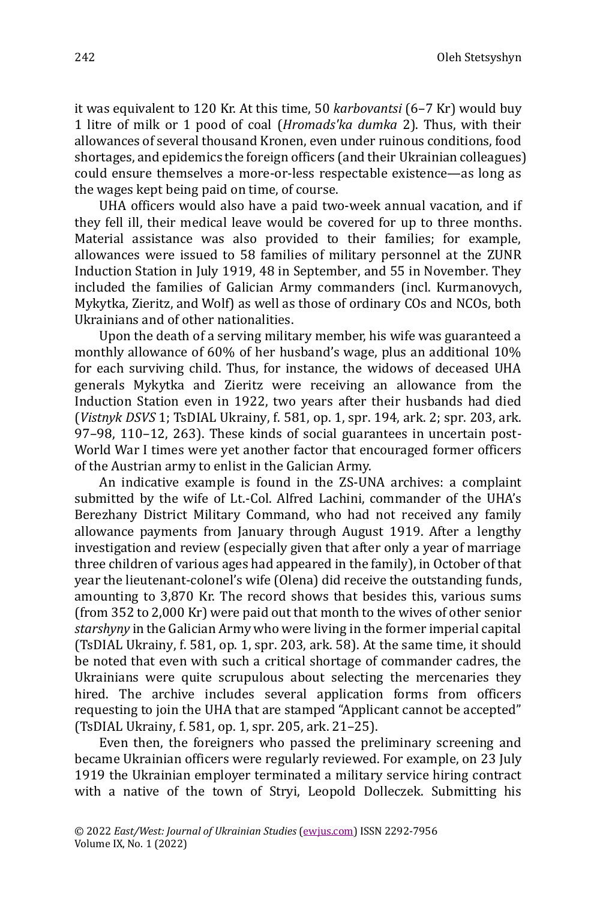Oleh Stetsyshyn

it was equivalent to 120 Kr. At this time, 50 *karbovantsi* (6–7 Kr) would buy 1 litre of milk or 1 pood of coal (*Hromads'ka dumka* 2). Thus, with their allowances of several thousand Kronen, even under ruinous conditions, food shortages, and epidemics the foreign officers (and their Ukrainian colleagues) could ensure themselves a more-or-less respectable existence—as long as the wages kept being paid on time, of course.

UHA officers would also have a paid two-week annual vacation, and if they fell ill, their medical leave would be covered for up to three months. Material assistance was also provided to their families; for example, allowances were issued to 58 families of military personnel at the ZUNR Induction Station in July 1919, 48 in September, and 55 in November. They included the families of Galician Army commanders (incl. Kurmanovych, Mykytka, Zieritz, and Wolf) as well as those of ordinary COs and NCOs, both Ukrainians and of other nationalities.

Upon the death of a serving military member, his wife was guaranteed a monthly allowance of 60% of her husband's wage, plus an additional 10% for each surviving child. Thus, for instance, the widows of deceased UHA generals Mykytka and Zieritz were receiving an allowance from the Induction Station even in 1922, two years after their husbands had died (*Vistnyk DSVS* 1; TsDIAL Ukrainy, f. 581, op. 1, spr. 194, ark. 2; spr. 203, ark. 97–98, 110–12, 263). These kinds of social guarantees in uncertain post-World War I times were yet another factor that encouraged former officers of the Austrian army to enlist in the Galician Army.

An indicative example is found in the ZS-UNA archives: a complaint submitted by the wife of Lt.-Col. Alfred Lachini, commander of the UHA's Berezhany District Military Command, who had not received any family allowance payments from January through August 1919. After a lengthy investigation and review (especially given that after only a year of marriage three children of various ages had appeared in the family), in October of that year the lieutenant-colonel's wife (Olena) did receive the outstanding funds, amounting to 3,870 Kr. The record shows that besides this, various sums (from 352 to 2,000 Kr) were paid out that month to the wives of other senior *starshyny* in the Galician Army who were living in the former imperial capital (TsDIAL Ukrainy, f. 581, op. 1, spr. 203, ark. 58). At the same time, it should be noted that even with such a critical shortage of commander cadres, the Ukrainians were quite scrupulous about selecting the mercenaries they hired. The archive includes several application forms from officers requesting to join the UHA that are stamped "Applicant cannot be accepted" (TsDIAL Ukrainy, f. 581, op. 1, spr. 205, ark. 21–25).

Even then, the foreigners who passed the preliminary screening and became Ukrainian officers were regularly reviewed. For example, on 23 July 1919 the Ukrainian employer terminated a military service hiring contract with a native of the town of Stryi, Leopold Dolleczek. Submitting his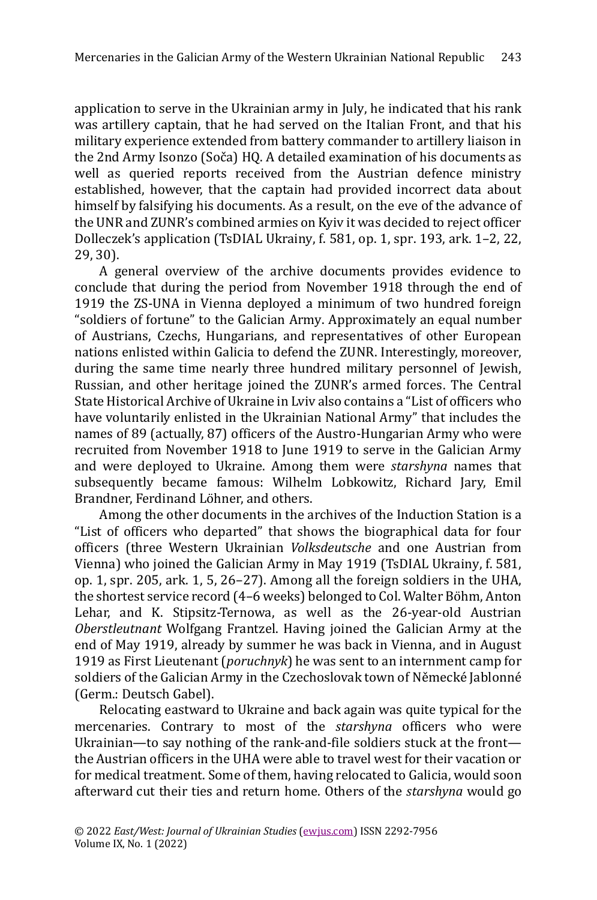application to serve in the Ukrainian army in July, he indicated that his rank was artillery captain, that he had served on the Italian Front, and that his military experience extended from battery commander to artillery liaison in the 2nd Army Isonzo (Soča) HQ. A detailed examination of his documents as well as queried reports received from the Austrian defence ministry established, however, that the captain had provided incorrect data about himself by falsifying his documents. As a result, on the eve of the advance of the UNR and ZUNR's combined armies on Kyiv it was decided to reject officer Dolleczek's application (TsDIAL Ukrainy, f. 581, op. 1, spr. 193, ark. 1–2, 22, 29, 30).

A general overview of the archive documents provides evidence to conclude that during the period from November 1918 through the end of 1919 the ZS-UNA in Vienna deployed a minimum of two hundred foreign "soldiers of fortune" to the Galician Army. Approximately an equal number of Austrians, Czechs, Hungarians, and representatives of other European nations enlisted within Galicia to defend the ZUNR. Interestingly, moreover, during the same time nearly three hundred military personnel of Jewish, Russian, and other heritage joined the ZUNR's armed forces. The Central State Historical Archive of Ukraine in Lviv also contains a "List of officers who have voluntarily enlisted in the Ukrainian National Army" that includes the names of 89 (actually, 87) officers of the Austro-Hungarian Army who were recruited from November 1918 to June 1919 to serve in the Galician Army and were deployed to Ukraine. Among them were *starshyna* names that subsequently became famous: Wilhelm Lobkowitz, Richard Jary, Emil Brandner, Ferdinand Löhner, and others.

Among the other documents in the archives of the Induction Station is a "List of officers who departed" that shows the biographical data for four officers (three Western Ukrainian *Volksdeutsche* and one Austrian from Vienna) who joined the Galician Army in May 1919 (TsDIAL Ukrainy, f. 581, op. 1, spr. 205, ark. 1, 5, 26–27). Among all the foreign soldiers in the UHA, the shortest service record (4-6 weeks) belonged to Col. Walter Böhm, Anton Lehar, and K. Stipsitz-Ternowa, as well as the 26-year-old Austrian *Oberstleutnant* Wolfgang Frantzel. Having joined the Galician Army at the end of May 1919, already by summer he was back in Vienna, and in August 1919 as First Lieutenant (*poruchnyk*) he was sent to an internment camp for soldiers of the Galician Army in the Czechoslovak town of Německé Jablonné (Germ.: Deutsch Gabel).

Relocating eastward to Ukraine and back again was quite typical for the mercenaries. Contrary to most of the *starshyna* officers who were Ukrainian—to say nothing of the rank-and-file soldiers stuck at the front the Austrian officers in the UHA were able to travel west for their vacation or for medical treatment. Some of them, having relocated to Galicia, would soon afterward cut their ties and return home. Others of the *starshyna* would go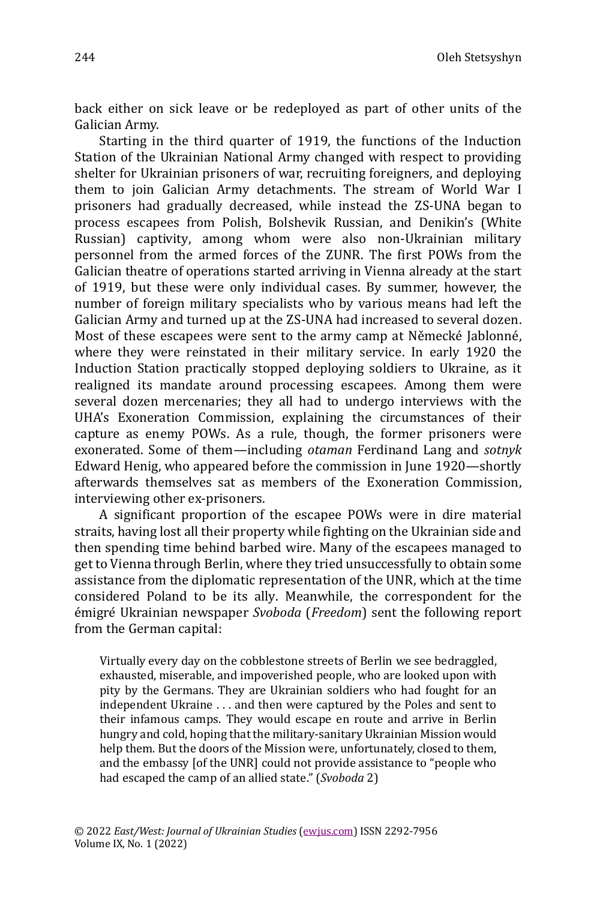back either on sick leave or be redeployed as part of other units of the Galician Army.

Starting in the third quarter of 1919, the functions of the Induction Station of the Ukrainian National Army changed with respect to providing shelter for Ukrainian prisoners of war, recruiting foreigners, and deploying them to join Galician Army detachments. The stream of World War I prisoners had gradually decreased, while instead the ZS-UNA began to process escapees from Polish, Bolshevik Russian, and Denikin's (White Russian) captivity, among whom were also non-Ukrainian military personnel from the armed forces of the ZUNR. The first POWs from the Galician theatre of operations started arriving in Vienna already at the start of 1919, but these were only individual cases. By summer, however, the number of foreign military specialists who by various means had left the Galician Army and turned up at the ZS-UNA had increased to several dozen. Most of these escapees were sent to the army camp at Německé Jablonné, where they were reinstated in their military service. In early 1920 the Induction Station practically stopped deploying soldiers to Ukraine, as it realigned its mandate around processing escapees. Among them were several dozen mercenaries; they all had to undergo interviews with the UHA's Exoneration Commission, explaining the circumstances of their capture as enemy POWs. As a rule, though, the former prisoners were exonerated. Some of them—including *otaman* Ferdinand Lang and *sotnyk* Edward Henig, who appeared before the commission in June 1920—shortly afterwards themselves sat as members of the Exoneration Commission, interviewing other ex-prisoners.

A significant proportion of the escapee POWs were in dire material straits, having lost all their property while fighting on the Ukrainian side and then spending time behind barbed wire. Many of the escapees managed to get to Vienna through Berlin, where they tried unsuccessfully to obtain some assistance from the diplomatic representation of the UNR, which at the time considered Poland to be its ally. Meanwhile, the correspondent for the e migre Ukrainian newspaper *Svoboda* (*Freedom*) sent the following report from the German capital:

Virtually every day on the cobblestone streets of Berlin we see bedraggled, exhausted, miserable, and impoverished people, who are looked upon with pity by the Germans. They are Ukrainian soldiers who had fought for an independent Ukraine . . . and then were captured by the Poles and sent to their infamous camps. They would escape en route and arrive in Berlin hungry and cold, hoping that the military-sanitary Ukrainian Mission would help them. But the doors of the Mission were, unfortunately, closed to them, and the embassy [of the UNR] could not provide assistance to "people who had escaped the camp of an allied state." (*Svoboda* 2)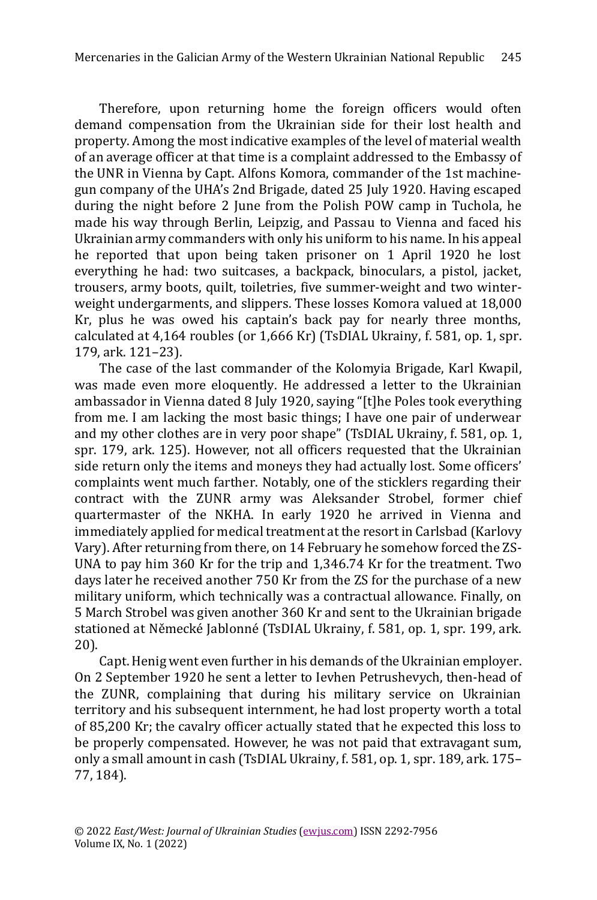Therefore, upon returning home the foreign officers would often demand compensation from the Ukrainian side for their lost health and property. Among the most indicative examples of the level of material wealth of an average officer at that time is a complaint addressed to the Embassy of the UNR in Vienna by Capt. Alfons Komora, commander of the 1st machinegun company of the UHA's 2nd Brigade, dated 25 July 1920. Having escaped during the night before 2 June from the Polish POW camp in Tuchola, he made his way through Berlin, Leipzig, and Passau to Vienna and faced his Ukrainian army commanders with only his uniform to his name. In his appeal he reported that upon being taken prisoner on 1 April 1920 he lost everything he had: two suitcases, a backpack, binoculars, a pistol, jacket, trousers, army boots, quilt, toiletries, five summer-weight and two winterweight undergarments, and slippers. These losses Komora valued at 18,000 Kr, plus he was owed his captain's back pay for nearly three months, calculated at 4,164 roubles (or 1,666 Kr) (TsDIAL Ukrainy, f. 581, op. 1, spr. 179, ark. 121–23).

The case of the last commander of the Kolomyia Brigade, Karl Kwapil, was made even more eloquently. He addressed a letter to the Ukrainian ambassador in Vienna dated 8 July 1920, saying "[t]he Poles took everything from me. I am lacking the most basic things; I have one pair of underwear and my other clothes are in very poor shape" (TsDIAL Ukrainy, f. 581, op. 1, spr. 179, ark. 125). However, not all officers requested that the Ukrainian side return only the items and moneys they had actually lost. Some officers' complaints went much farther. Notably, one of the sticklers regarding their contract with the ZUNR army was Aleksander Strobel, former chief quartermaster of the NKHA. In early 1920 he arrived in Vienna and immediately applied for medical treatment at the resort in Carlsbad (Karlovy Vary). After returning from there, on 14 February he somehow forced the ZS-UNA to pay him 360 Kr for the trip and 1,346.74 Kr for the treatment. Two days later he received another 750 Kr from the ZS for the purchase of a new military uniform, which technically was a contractual allowance. Finally, on 5 March Strobel was given another 360 Kr and sent to the Ukrainian brigade stationed at Německé Jablonné (TsDIAL Ukrainy, f. 581, op. 1, spr. 199, ark. 20).

Capt. Henig went even further in his demands of the Ukrainian employer. On 2 September 1920 he sent a letter to Ievhen Petrushevych, then-head of the ZUNR, complaining that during his military service on Ukrainian territory and his subsequent internment, he had lost property worth a total of 85,200 Kr; the cavalry officer actually stated that he expected this loss to be properly compensated. However, he was not paid that extravagant sum, only a small amount in cash (TsDIAL Ukrainy, f. 581, op. 1, spr. 189, ark. 175– 77, 184).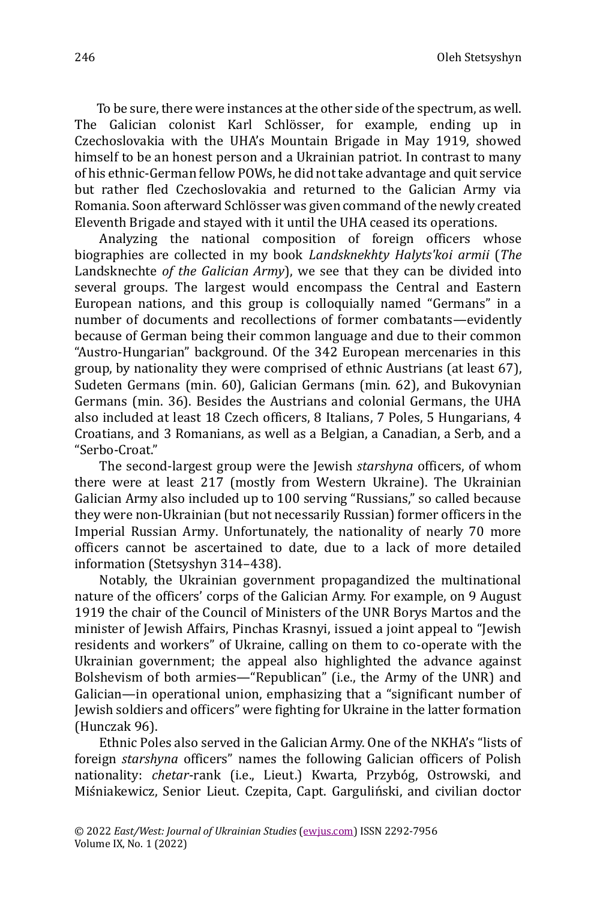Oleh Stetsyshyn

To be sure, there were instances at the other side of the spectrum, as well. The Galician colonist Karl Schlösser, for example, ending up in Czechoslovakia with the UHA's Mountain Brigade in May 1919, showed himself to be an honest person and a Ukrainian patriot. In contrast to many of his ethnic-German fellow POWs, he did not take advantage and quit service but rather fled Czechoslovakia and returned to the Galician Army via Romania. Soon afterward Schlösser was given command of the newly created Eleventh Brigade and stayed with it until the UHA ceased its operations.

Analyzing the national composition of foreign officers whose biographies are collected in my book *Landsknekhty Halyts'koi armii* (*The*  Landsknechte *of the Galician Army*), we see that they can be divided into several groups. The largest would encompass the Central and Eastern European nations, and this group is colloquially named "Germans" in a number of documents and recollections of former combatants—evidently because of German being their common language and due to their common "Austro-Hungarian" background. Of the 342 European mercenaries in this group, by nationality they were comprised of ethnic Austrians (at least 67), Sudeten Germans (min. 60), Galician Germans (min. 62), and Bukovynian Germans (min. 36). Besides the Austrians and colonial Germans, the UHA also included at least 18 Czech officers, 8 Italians, 7 Poles, 5 Hungarians, 4 Croatians, and 3 Romanians, as well as a Belgian, a Canadian, a Serb, and a "Serbo-Croat."

The second-largest group were the Jewish *starshyna* officers, of whom there were at least 217 (mostly from Western Ukraine). The Ukrainian Galician Army also included up to 100 serving "Russians," so called because they were non-Ukrainian (but not necessarily Russian) former officers in the Imperial Russian Army. Unfortunately, the nationality of nearly 70 more officers cannot be ascertained to date, due to a lack of more detailed information (Stetsyshyn 314–438).

Notably, the Ukrainian government propagandized the multinational nature of the officers' corps of the Galician Army. For example, on 9 August 1919 the chair of the Council of Ministers of the UNR Borys Martos and the minister of Jewish Affairs, Pinchas Krasnyi, issued a joint appeal to "Jewish residents and workers" of Ukraine, calling on them to co-operate with the Ukrainian government; the appeal also highlighted the advance against Bolshevism of both armies—"Republican" (i.e., the Army of the UNR) and Galician—in operational union, emphasizing that a "significant number of Jewish soldiers and officers" were fighting for Ukraine in the latter formation (Hunczak 96).

Ethnic Poles also served in the Galician Army. One of the NKHA's "lists of foreign *starshyna* officers" names the following Galician officers of Polish nationality: *chetar-rank* (i.e., Lieut.) Kwarta, Przybóg, Ostrowski, and Miśniakewicz, Senior Lieut. Czepita, Capt. Garguliński, and civilian doctor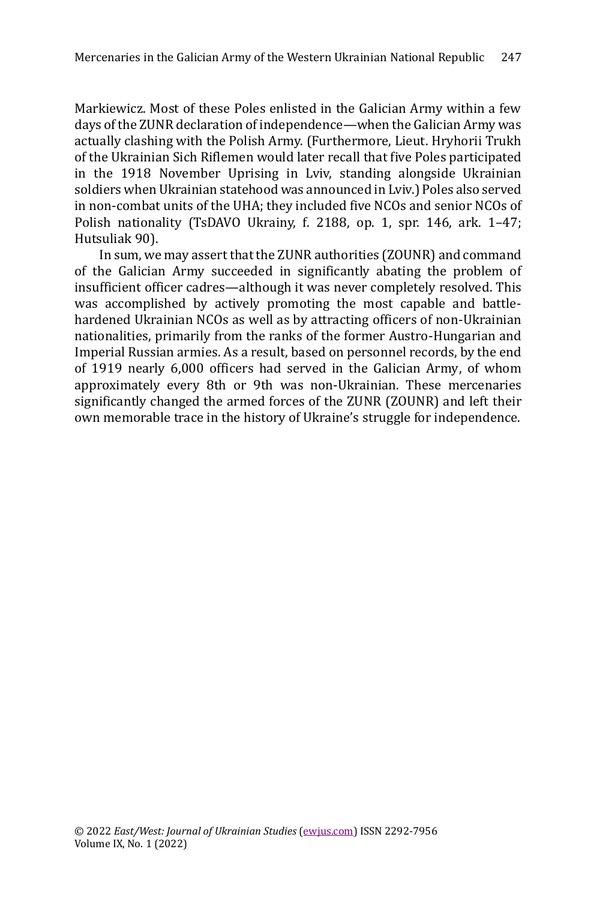Markiewicz. Most of these Poles enlisted in the Galician Army within a few days of the ZUNR declaration of independence—when the Galician Army was actually clashing with the Polish Army. (Furthermore, Lieut. Hryhorii Trukh of the Ukrainian Sich Riflemen would later recall that five Poles participated in the 1918 November Uprising in Lviv, standing alongside Ukrainian soldiers when Ukrainian statehood was announced in Lviv.) Poles also served in non-combat units of the UHA; they included five NCOs and senior NCOs of Polish nationality (TsDAVO Ukrainy, f. 2188, op. 1, spr. 146, ark. 1–47; Hutsuliak 90).

In sum, we may assert that the ZUNR authorities (ZOUNR) and command of the Galician Army succeeded in significantly abating the problem of insufficient officer cadres—although it was never completely resolved. This was accomplished by actively promoting the most capable and battlehardened Ukrainian NCOs as well as by attracting officers of non-Ukrainian nationalities, primarily from the ranks of the former Austro-Hungarian and Imperial Russian armies. As a result, based on personnel records, by the end of 1919 nearly 6,000 officers had served in the Galician Army, of whom approximately every 8th or 9th was non-Ukrainian. These mercenaries significantly changed the armed forces of the ZUNR (ZOUNR) and left their own memorable trace in the history of Ukraine's struggle for independence.